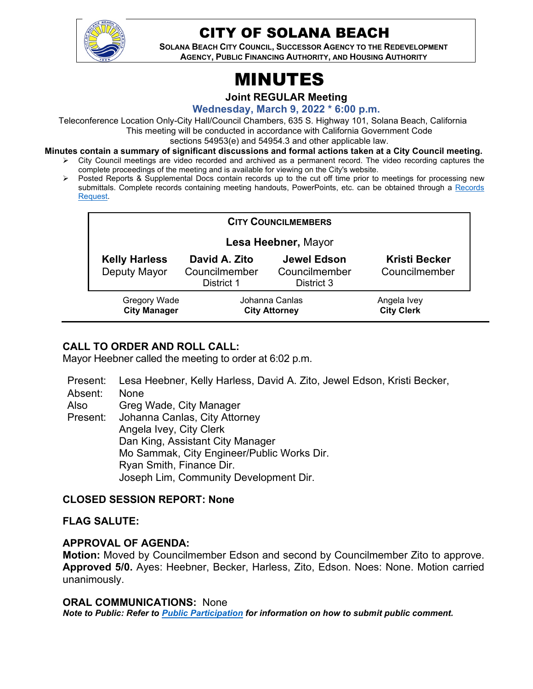

# CITY OF SOLANA BEACH

**SOLANA BEACH CITY COUNCIL, SUCCESSOR AGENCY TO THE REDEVELOPMENT AGENCY, PUBLIC FINANCING AUTHORITY, AND HOUSING AUTHORITY** 

# MINUTES

**Joint REGULAR Meeting**

**Wednesday, March 9, 2022 \* 6:00 p.m.**

Teleconference Location Only-City Hall/Council Chambers, 635 S. Highway 101, Solana Beach, California This meeting will be conducted in accordance with California Government Code

sections 54953(e) and 54954.3 and other applicable law.

- **Minutes contain a summary of significant discussions and formal actions taken at a City Council meeting.**
	- $\triangleright$  City Council meetings are video recorded and archived as a permanent record. The video recording captures the complete proceedings of the meeting and is available for viewing on the City's website.
	- $\triangleright$  Posted Reports & Supplemental Docs contain records up to the cut off time prior to meetings for processing new submittals. Complete records containing meeting handouts, PowerPoints, etc. can be obtained through a [Records](http://www.ci.solana-beach.ca.us/index.asp?SEC=F5D45D10-70CE-4291-A27C-7BD633FC6742&Type=B_BASIC)  [Request.](http://www.ci.solana-beach.ca.us/index.asp?SEC=F5D45D10-70CE-4291-A27C-7BD633FC6742&Type=B_BASIC)

| <b>CITY COUNCILMEMBERS</b>           |                                              |                                                   |                                       |
|--------------------------------------|----------------------------------------------|---------------------------------------------------|---------------------------------------|
| Lesa Heebner, Mayor                  |                                              |                                                   |                                       |
| <b>Kelly Harless</b><br>Deputy Mayor | David A. Zito<br>Councilmember<br>District 1 | <b>Jewel Edson</b><br>Councilmember<br>District 3 | <b>Kristi Becker</b><br>Councilmember |
| Gregory Wade<br><b>City Manager</b>  | Johanna Canlas<br><b>City Attorney</b>       |                                                   | Angela Ivey<br><b>City Clerk</b>      |

# **CALL TO ORDER AND ROLL CALL:**

Mayor Heebner called the meeting to order at 6:02 p.m.

Present: Lesa Heebner, Kelly Harless, David A. Zito, Jewel Edson, Kristi Becker,

Absent: None

Also Greg Wade, City Manager

Present: Johanna Canlas, City Attorney Angela Ivey, City Clerk Dan King, Assistant City Manager Mo Sammak, City Engineer/Public Works Dir. Ryan Smith, Finance Dir. Joseph Lim, Community Development Dir.

# **CLOSED SESSION REPORT: None**

# **FLAG SALUTE:**

# **APPROVAL OF AGENDA:**

**Motion:** Moved by Councilmember Edson and second by Councilmember Zito to approve. **Approved 5/0.** Ayes: Heebner, Becker, Harless, Zito, Edson. Noes: None. Motion carried unanimously.

#### **ORAL COMMUNICATIONS:** None

*Note to Public: Refer to Public Participation for information on how to submit public comment.*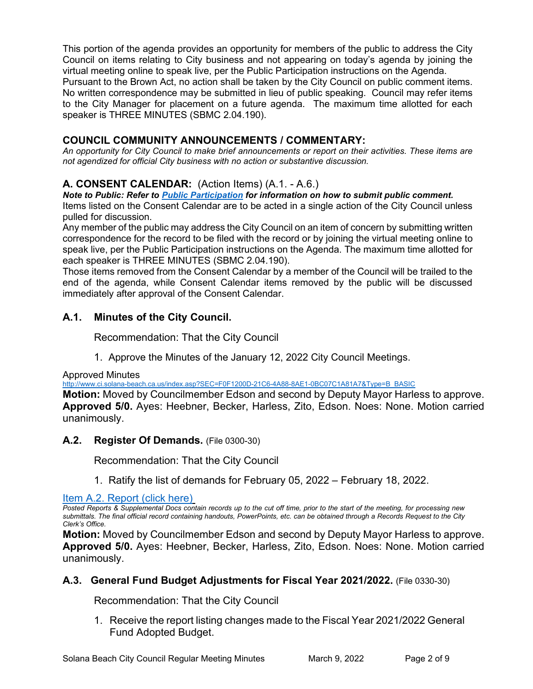This portion of the agenda provides an opportunity for members of the public to address the City Council on items relating to City business and not appearing on today's agenda by joining the virtual meeting online to speak live, per the Public Participation instructions on the Agenda.

Pursuant to the Brown Act, no action shall be taken by the City Council on public comment items. No written correspondence may be submitted in lieu of public speaking. Council may refer items to the City Manager for placement on a future agenda. The maximum time allotted for each speaker is THREE MINUTES (SBMC 2.04.190).

# **COUNCIL COMMUNITY ANNOUNCEMENTS / COMMENTARY:**

*An opportunity for City Council to make brief announcements or report on their activities. These items are not agendized for official City business with no action or substantive discussion.* 

# **A. CONSENT CALENDAR:** (Action Items) (A.1. - A.6.)

*Note to Public: Refer to Public Participation for information on how to submit public comment.*  Items listed on the Consent Calendar are to be acted in a single action of the City Council unless pulled for discussion.

Any member of the public may address the City Council on an item of concern by submitting written correspondence for the record to be filed with the record or by joining the virtual meeting online to speak live, per the Public Participation instructions on the Agenda. The maximum time allotted for each speaker is THREE MINUTES (SBMC 2.04.190).

Those items removed from the Consent Calendar by a member of the Council will be trailed to the end of the agenda, while Consent Calendar items removed by the public will be discussed immediately after approval of the Consent Calendar.

# **A.1. Minutes of the City Council.**

Recommendation: That the City Council

1. Approve the Minutes of the January 12, 2022 City Council Meetings.

Approved Minutes

[http://www.ci.solana-beach.ca.us/index.asp?SEC=F0F1200D-21C6-4A88-8AE1-0BC07C1A81A7&Type=B\\_BASIC](http://www.ci.solana-beach.ca.us/index.asp?SEC=F0F1200D-21C6-4A88-8AE1-0BC07C1A81A7&Type=B_BASIC)

**Motion:** Moved by Councilmember Edson and second by Deputy Mayor Harless to approve. **Approved 5/0.** Ayes: Heebner, Becker, Harless, Zito, Edson. Noes: None. Motion carried unanimously.

# **A.2. Register Of Demands.** (File 0300-30)

Recommendation: That the City Council

1. Ratify the list of demands for February 05, 2022 – February 18, 2022.

[Item A.2. Report \(click here\)](https://solanabeach.govoffice3.com/vertical/Sites/%7B840804C2-F869-4904-9AE3-720581350CE7%7D/uploads/A.2._Report_(click_here)_-_3-9-22_-_O.pdf)

*Posted Reports & Supplemental Docs contain records up to the cut off time, prior to the start of the meeting, for processing new submittals. The final official record containing handouts, PowerPoints, etc. can be obtained through a Records Request to the City Clerk's Office.*

**Motion:** Moved by Councilmember Edson and second by Deputy Mayor Harless to approve. **Approved 5/0.** Ayes: Heebner, Becker, Harless, Zito, Edson. Noes: None. Motion carried unanimously.

# **A.3. General Fund Budget Adjustments for Fiscal Year 2021/2022.** (File 0330-30)

Recommendation: That the City Council

1. Receive the report listing changes made to the Fiscal Year 2021/2022 General Fund Adopted Budget.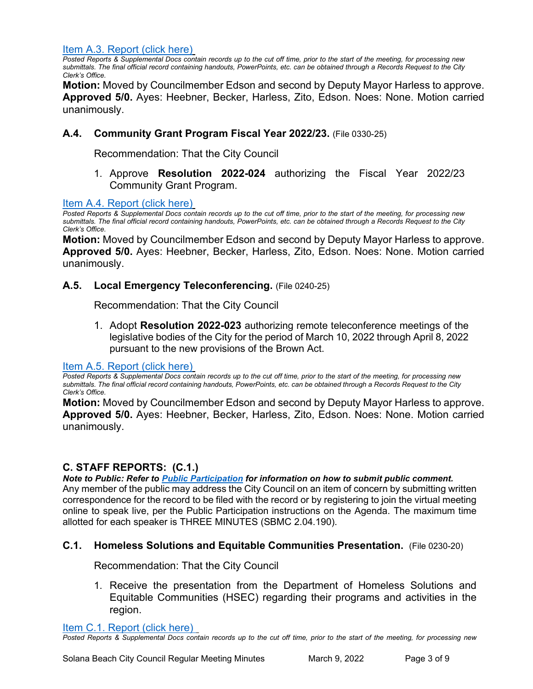[Item A.3. Report \(click here\)](https://solanabeach.govoffice3.com/vertical/Sites/%7B840804C2-F869-4904-9AE3-720581350CE7%7D/uploads/A.3._Report_(click_here)_3-9-22_-_O.pdf)

*Posted Reports & Supplemental Docs contain records up to the cut off time, prior to the start of the meeting, for processing new submittals. The final official record containing handouts, PowerPoints, etc. can be obtained through a Records Request to the City Clerk's Office.*

**Motion:** Moved by Councilmember Edson and second by Deputy Mayor Harless to approve. **Approved 5/0.** Ayes: Heebner, Becker, Harless, Zito, Edson. Noes: None. Motion carried unanimously.

# **A.4. Community Grant Program Fiscal Year 2022/23.** (File 0330-25)

Recommendation: That the City Council

1. Approve **Resolution 2022-024** authorizing the Fiscal Year 2022/23 Community Grant Program.

#### [Item A.4. Report \(click here\)](https://solanabeach.govoffice3.com/vertical/Sites/%7B840804C2-F869-4904-9AE3-720581350CE7%7D/uploads/A.4._Report_(click_here)_3-9-22_-_O.pdf)

*Posted Reports & Supplemental Docs contain records up to the cut off time, prior to the start of the meeting, for processing new submittals. The final official record containing handouts, PowerPoints, etc. can be obtained through a Records Request to the City Clerk's Office.*

**Motion:** Moved by Councilmember Edson and second by Deputy Mayor Harless to approve. **Approved 5/0.** Ayes: Heebner, Becker, Harless, Zito, Edson. Noes: None. Motion carried unanimously.

#### **A.5. Local Emergency Teleconferencing.** (File 0240-25)

Recommendation: That the City Council

1. Adopt **Resolution 2022-023** authorizing remote teleconference meetings of the legislative bodies of the City for the period of March 10, 2022 through April 8, 2022 pursuant to the new provisions of the Brown Act.

#### [Item A.5. Report \(click here\)](https://solanabeach.govoffice3.com/vertical/Sites/%7B840804C2-F869-4904-9AE3-720581350CE7%7D/uploads/A.5._Report_(click_here)_3-9-22_-_O.pdf)

*Posted Reports & Supplemental Docs contain records up to the cut off time, prior to the start of the meeting, for processing new submittals. The final official record containing handouts, PowerPoints, etc. can be obtained through a Records Request to the City Clerk's Office.*

**Motion:** Moved by Councilmember Edson and second by Deputy Mayor Harless to approve. **Approved 5/0.** Ayes: Heebner, Becker, Harless, Zito, Edson. Noes: None. Motion carried unanimously.

# **C. STAFF REPORTS: (C.1.)**

*Note to Public: Refer to Public Participation for information on how to submit public comment.* 

Any member of the public may address the City Council on an item of concern by submitting written correspondence for the record to be filed with the record or by registering to join the virtual meeting online to speak live, per the Public Participation instructions on the Agenda. The maximum time allotted for each speaker is THREE MINUTES (SBMC 2.04.190).

#### **C.1. Homeless Solutions and Equitable Communities Presentation.** (File 0230-20)

Recommendation: That the City Council

1. Receive the presentation from the Department of Homeless Solutions and Equitable Communities (HSEC) regarding their programs and activities in the region.

[Item C.1. Report \(click here\)](https://solanabeach.govoffice3.com/vertical/Sites/%7B840804C2-F869-4904-9AE3-720581350CE7%7D/uploads/C.1._Report_(click_here)_3-9-22_-_O.pdf) 

*Posted Reports & Supplemental Docs contain records up to the cut off time, prior to the start of the meeting, for processing new*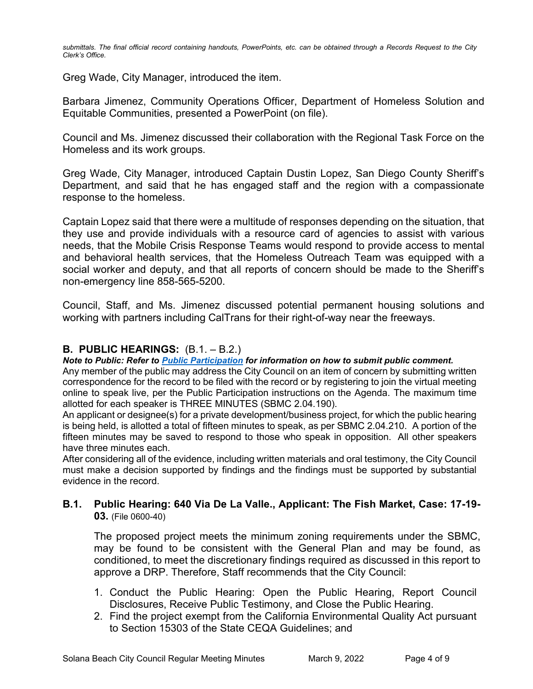*submittals. The final official record containing handouts, PowerPoints, etc. can be obtained through a Records Request to the City Clerk's Office.*

Greg Wade, City Manager, introduced the item.

Barbara Jimenez, Community Operations Officer, Department of Homeless Solution and Equitable Communities, presented a PowerPoint (on file).

Council and Ms. Jimenez discussed their collaboration with the Regional Task Force on the Homeless and its work groups.

Greg Wade, City Manager, introduced Captain Dustin Lopez, San Diego County Sheriff's Department, and said that he has engaged staff and the region with a compassionate response to the homeless.

Captain Lopez said that there were a multitude of responses depending on the situation, that they use and provide individuals with a resource card of agencies to assist with various needs, that the Mobile Crisis Response Teams would respond to provide access to mental and behavioral health services, that the Homeless Outreach Team was equipped with a social worker and deputy, and that all reports of concern should be made to the Sheriff's non-emergency line 858-565-5200.

Council, Staff, and Ms. Jimenez discussed potential permanent housing solutions and working with partners including CalTrans for their right-of-way near the freeways.

# **B. PUBLIC HEARINGS:** (B.1. – B.2.)

*Note to Public: Refer to Public Participation for information on how to submit public comment.* 

Any member of the public may address the City Council on an item of concern by submitting written correspondence for the record to be filed with the record or by registering to join the virtual meeting online to speak live, per the Public Participation instructions on the Agenda. The maximum time allotted for each speaker is THREE MINUTES (SBMC 2.04.190).

An applicant or designee(s) for a private development/business project, for which the public hearing is being held, is allotted a total of fifteen minutes to speak, as per SBMC 2.04.210. A portion of the fifteen minutes may be saved to respond to those who speak in opposition. All other speakers have three minutes each.

After considering all of the evidence, including written materials and oral testimony, the City Council must make a decision supported by findings and the findings must be supported by substantial evidence in the record.

#### **B.1. Public Hearing: 640 Via De La Valle., Applicant: The Fish Market, Case: 17-19- 03.** (File 0600-40)

The proposed project meets the minimum zoning requirements under the SBMC, may be found to be consistent with the General Plan and may be found, as conditioned, to meet the discretionary findings required as discussed in this report to approve a DRP. Therefore, Staff recommends that the City Council:

- 1. Conduct the Public Hearing: Open the Public Hearing, Report Council Disclosures, Receive Public Testimony, and Close the Public Hearing.
- 2. Find the project exempt from the California Environmental Quality Act pursuant to Section 15303 of the State CEQA Guidelines; and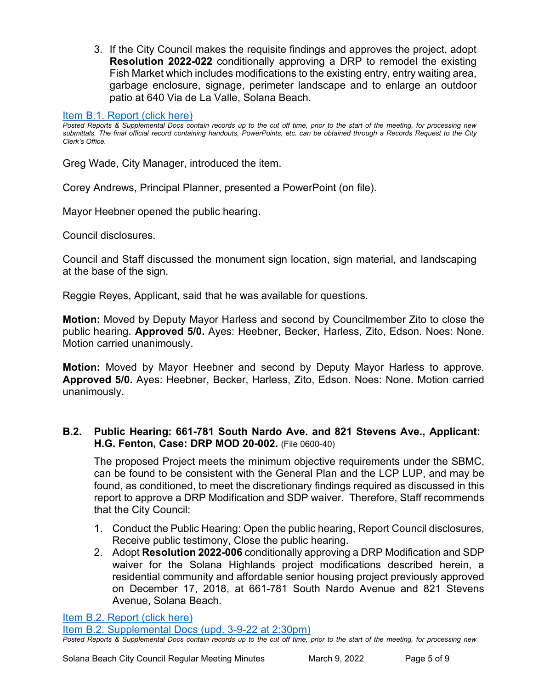3. If the City Council makes the requisite findings and approves the project, adopt **Resolution 2022-022** conditionally approving a DRP to remodel the existing Fish Market which includes modifications to the existing entry, entry waiting area, garbage enclosure, signage, perimeter landscape and to enlarge an outdoor patio at 640 Via de La Valle, Solana Beach.

#### [Item B.1. Report \(click here\)](https://solanabeach.govoffice3.com/vertical/Sites/%7B840804C2-F869-4904-9AE3-720581350CE7%7D/uploads/B.1._Report_(click_here)_3-9-22_-_O.pdf)

*Posted Reports & Supplemental Docs contain records up to the cut off time, prior to the start of the meeting, for processing new submittals. The final official record containing handouts, PowerPoints, etc. can be obtained through a Records Request to the City Clerk's Office.*

Greg Wade, City Manager, introduced the item.

Corey Andrews, Principal Planner, presented a PowerPoint (on file).

Mayor Heebner opened the public hearing.

Council disclosures.

Council and Staff discussed the monument sign location, sign material, and landscaping at the base of the sign.

Reggie Reyes, Applicant, said that he was available for questions.

**Motion:** Moved by Deputy Mayor Harless and second by Councilmember Zito to close the public hearing. **Approved 5/0.** Ayes: Heebner, Becker, Harless, Zito, Edson. Noes: None. Motion carried unanimously.

**Motion:** Moved by Mayor Heebner and second by Deputy Mayor Harless to approve. **Approved 5/0.** Ayes: Heebner, Becker, Harless, Zito, Edson. Noes: None. Motion carried unanimously.

#### **B.2. Public Hearing: 661-781 South Nardo Ave. and 821 Stevens Ave., Applicant: H.G. Fenton, Case: DRP MOD 20-002.** (File 0600-40)

The proposed Project meets the minimum objective requirements under the SBMC, can be found to be consistent with the General Plan and the LCP LUP, and may be found, as conditioned, to meet the discretionary findings required as discussed in this report to approve a DRP Modification and SDP waiver. Therefore, Staff recommends that the City Council:

- 1. Conduct the Public Hearing: Open the public hearing, Report Council disclosures, Receive public testimony, Close the public hearing.
- 2. Adopt **Resolution 2022-006** conditionally approving a DRP Modification and SDP waiver for the Solana Highlands project modifications described herein, a residential community and affordable senior housing project previously approved on December 17, 2018, at 661-781 South Nardo Avenue and 821 Stevens Avenue, Solana Beach.

[Item B.2. Report \(click here\)](https://solanabeach.govoffice3.com/vertical/Sites/%7B840804C2-F869-4904-9AE3-720581350CE7%7D/uploads/B.2._Report_(click_here)_3-9-22_-_O.pdf)

[Item B.2. Supplemental Docs \(upd. 3-9-22 at 2:30pm\)](https://solanabeach.govoffice3.com/vertical/Sites/%7B840804C2-F869-4904-9AE3-720581350CE7%7D/uploads/B.2._Supp_Docs_(3-9_120pm)_-_O.pdf)

*Posted Reports & Supplemental Docs contain records up to the cut off time, prior to the start of the meeting, for processing new*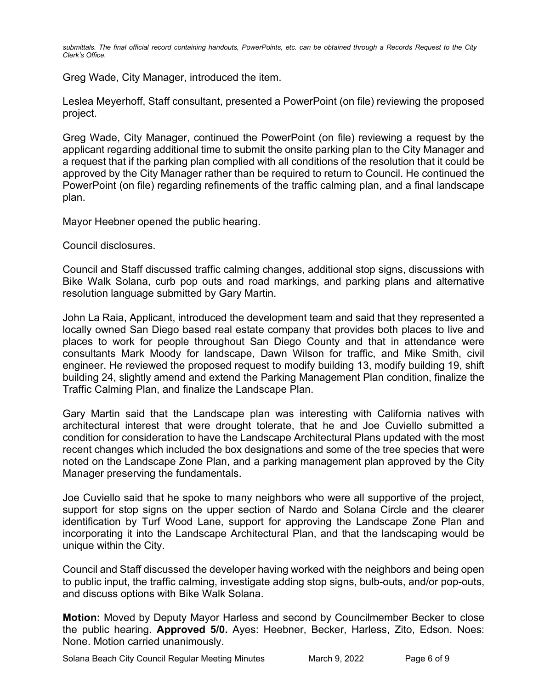*submittals. The final official record containing handouts, PowerPoints, etc. can be obtained through a Records Request to the City Clerk's Office.*

Greg Wade, City Manager, introduced the item.

Leslea Meyerhoff, Staff consultant, presented a PowerPoint (on file) reviewing the proposed project.

Greg Wade, City Manager, continued the PowerPoint (on file) reviewing a request by the applicant regarding additional time to submit the onsite parking plan to the City Manager and a request that if the parking plan complied with all conditions of the resolution that it could be approved by the City Manager rather than be required to return to Council. He continued the PowerPoint (on file) regarding refinements of the traffic calming plan, and a final landscape plan.

Mayor Heebner opened the public hearing.

Council disclosures.

Council and Staff discussed traffic calming changes, additional stop signs, discussions with Bike Walk Solana, curb pop outs and road markings, and parking plans and alternative resolution language submitted by Gary Martin.

John La Raia, Applicant, introduced the development team and said that they represented a locally owned San Diego based real estate company that provides both places to live and places to work for people throughout San Diego County and that in attendance were consultants Mark Moody for landscape, Dawn Wilson for traffic, and Mike Smith, civil engineer. He reviewed the proposed request to modify building 13, modify building 19, shift building 24, slightly amend and extend the Parking Management Plan condition, finalize the Traffic Calming Plan, and finalize the Landscape Plan.

Gary Martin said that the Landscape plan was interesting with California natives with architectural interest that were drought tolerate, that he and Joe Cuviello submitted a condition for consideration to have the Landscape Architectural Plans updated with the most recent changes which included the box designations and some of the tree species that were noted on the Landscape Zone Plan, and a parking management plan approved by the City Manager preserving the fundamentals.

Joe Cuviello said that he spoke to many neighbors who were all supportive of the project, support for stop signs on the upper section of Nardo and Solana Circle and the clearer identification by Turf Wood Lane, support for approving the Landscape Zone Plan and incorporating it into the Landscape Architectural Plan, and that the landscaping would be unique within the City.

Council and Staff discussed the developer having worked with the neighbors and being open to public input, the traffic calming, investigate adding stop signs, bulb-outs, and/or pop-outs, and discuss options with Bike Walk Solana.

**Motion:** Moved by Deputy Mayor Harless and second by Councilmember Becker to close the public hearing. **Approved 5/0.** Ayes: Heebner, Becker, Harless, Zito, Edson. Noes: None. Motion carried unanimously.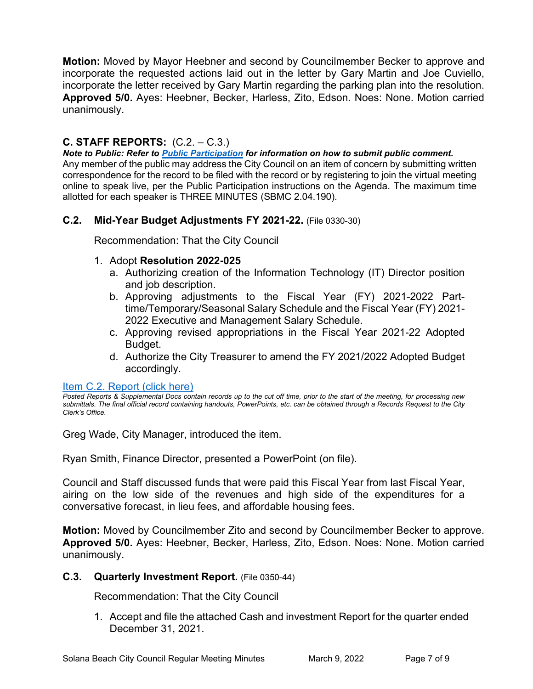**Motion:** Moved by Mayor Heebner and second by Councilmember Becker to approve and incorporate the requested actions laid out in the letter by Gary Martin and Joe Cuviello, incorporate the letter received by Gary Martin regarding the parking plan into the resolution. **Approved 5/0.** Ayes: Heebner, Becker, Harless, Zito, Edson. Noes: None. Motion carried unanimously.

# **C. STAFF REPORTS:** (C.2. – C.3.)

*Note to Public: Refer to Public Participation for information on how to submit public comment.*  Any member of the public may address the City Council on an item of concern by submitting written correspondence for the record to be filed with the record or by registering to join the virtual meeting online to speak live, per the Public Participation instructions on the Agenda. The maximum time allotted for each speaker is THREE MINUTES (SBMC 2.04.190).

# **C.2. Mid-Year Budget Adjustments FY 2021-22.** (File 0330-30)

Recommendation: That the City Council

# 1. Adopt **Resolution 2022-025**

- a. Authorizing creation of the Information Technology (IT) Director position and job description.
- b. Approving adjustments to the Fiscal Year (FY) 2021-2022 Parttime/Temporary/Seasonal Salary Schedule and the Fiscal Year (FY) 2021- 2022 Executive and Management Salary Schedule.
- c. Approving revised appropriations in the Fiscal Year 2021-22 Adopted Budget.
- d. Authorize the City Treasurer to amend the FY 2021/2022 Adopted Budget accordingly.

# [Item C.2. Report \(click here\)](https://solanabeach.govoffice3.com/vertical/Sites/%7B840804C2-F869-4904-9AE3-720581350CE7%7D/uploads/C.2._Report_(click_here)_3-9-22_-_O.pdf)

*Posted Reports & Supplemental Docs contain records up to the cut off time, prior to the start of the meeting, for processing new submittals. The final official record containing handouts, PowerPoints, etc. can be obtained through a Records Request to the City Clerk's Office.*

Greg Wade, City Manager, introduced the item.

Ryan Smith, Finance Director, presented a PowerPoint (on file).

Council and Staff discussed funds that were paid this Fiscal Year from last Fiscal Year, airing on the low side of the revenues and high side of the expenditures for a conversative forecast, in lieu fees, and affordable housing fees.

**Motion:** Moved by Councilmember Zito and second by Councilmember Becker to approve. **Approved 5/0.** Ayes: Heebner, Becker, Harless, Zito, Edson. Noes: None. Motion carried unanimously.

# **C.3. Quarterly Investment Report.** (File 0350-44)

Recommendation: That the City Council

1. Accept and file the attached Cash and investment Report for the quarter ended [December 31, 2021.](https://solanabeach.govoffice3.com/vertical/Sites/%7B840804C2-F869-4904-9AE3-720581350CE7%7D/uploads/C.3._Report_(click_here)_3-9-22_-_O.pdf)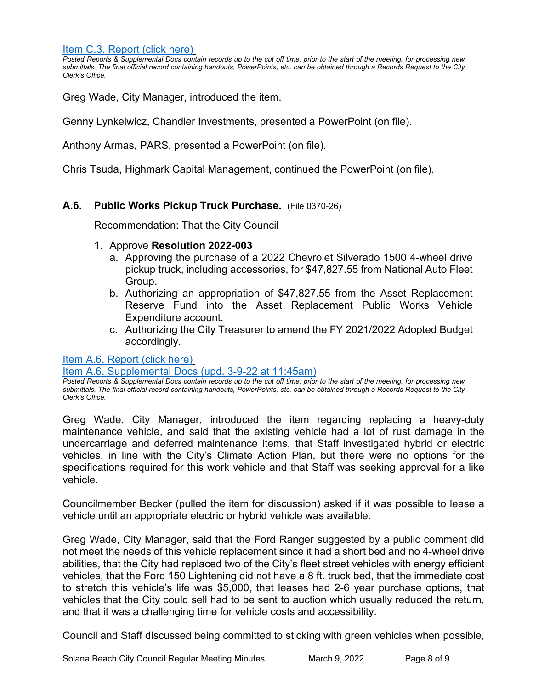[Item C.3. Report](https://solanabeach.govoffice3.com/vertical/Sites/%7B840804C2-F869-4904-9AE3-720581350CE7%7D/uploads/C.3._Report_(click_here)_3-9-22_-_O.pdf) (click here)

*Posted Reports & Supplemental Docs contain records up to the cut off time, prior to the start of the meeting, for processing new submittals. The final official record containing handouts, PowerPoints, etc. can be obtained through a Records Request to the City Clerk's Office.*

Greg Wade, City Manager, introduced the item.

Genny Lynkeiwicz, Chandler Investments, presented a PowerPoint (on file).

Anthony Armas, PARS, presented a PowerPoint (on file).

Chris Tsuda, Highmark Capital Management, continued the PowerPoint (on file).

# **A.6. Public Works Pickup Truck Purchase.** (File 0370-26)

Recommendation: That the City Council

#### 1. Approve **Resolution 2022-003**

- a. Approving the purchase of a 2022 Chevrolet Silverado 1500 4-wheel drive pickup truck, including accessories, for \$47,827.55 from National Auto Fleet Group.
- b. Authorizing an appropriation of \$47,827.55 from the Asset Replacement Reserve Fund into the Asset Replacement Public Works Vehicle Expenditure account.
- c. Authorizing the City Treasurer to amend the FY 2021/2022 Adopted Budget accordingly.

[Item A.6. Report \(click here\)](https://solanabeach.govoffice3.com/vertical/Sites/%7B840804C2-F869-4904-9AE3-720581350CE7%7D/uploads/A.6._Report_(click_here)_3-9-22_-_O.pdf)

#### [Item A.6. Supplemental Docs \(upd. 3-9-22 at 11:45am\)](https://solanabeach.govoffice3.com/vertical/Sites/%7B840804C2-F869-4904-9AE3-720581350CE7%7D/uploads/A.6._Supp_Docs_(3-9_1145am)_-_O.pdf)

*Posted Reports & Supplemental Docs contain records up to the cut off time, prior to the start of the meeting, for processing new submittals. The final official record containing handouts, PowerPoints, etc. can be obtained through a Records Request to the City Clerk's Office.*

Greg Wade, City Manager, introduced the item regarding replacing a heavy-duty maintenance vehicle, and said that the existing vehicle had a lot of rust damage in the undercarriage and deferred maintenance items, that Staff investigated hybrid or electric vehicles, in line with the City's Climate Action Plan, but there were no options for the specifications required for this work vehicle and that Staff was seeking approval for a like vehicle.

Councilmember Becker (pulled the item for discussion) asked if it was possible to lease a vehicle until an appropriate electric or hybrid vehicle was available.

Greg Wade, City Manager, said that the Ford Ranger suggested by a public comment did not meet the needs of this vehicle replacement since it had a short bed and no 4-wheel drive abilities, that the City had replaced two of the City's fleet street vehicles with energy efficient vehicles, that the Ford 150 Lightening did not have a 8 ft. truck bed, that the immediate cost to stretch this vehicle's life was \$5,000, that leases had 2-6 year purchase options, that vehicles that the City could sell had to be sent to auction which usually reduced the return, and that it was a challenging time for vehicle costs and accessibility.

Council and Staff discussed being committed to sticking with green vehicles when possible,